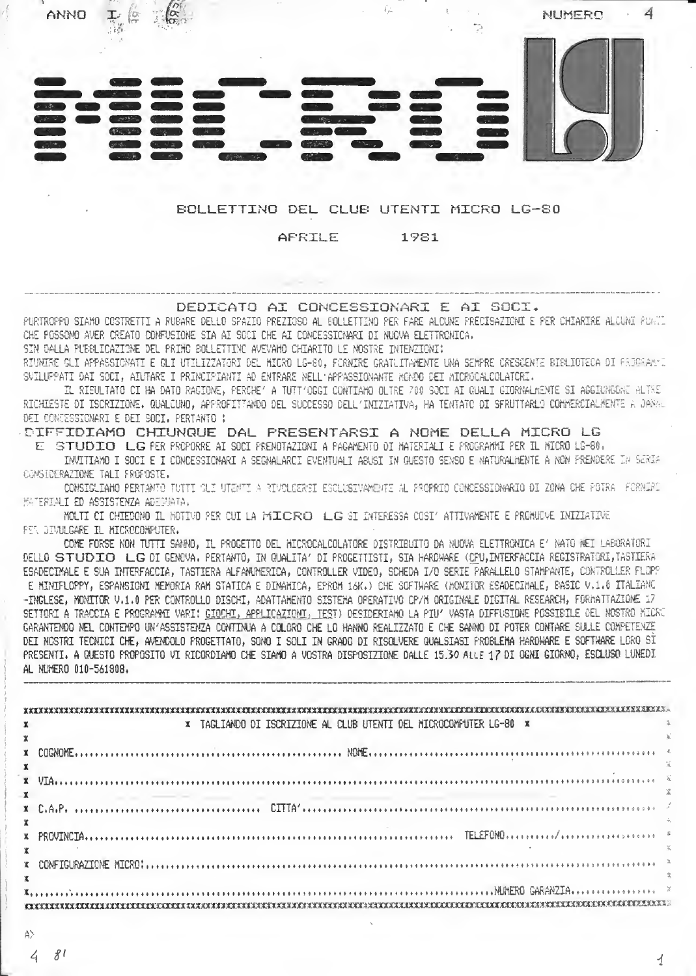

COME FORSE NON TUTTI SANNO. IL PROGETTO DEL MICROCALCOLATORE DISTRIBUITO DA NUOVA ELETIRONICA E' NATO MEI LABORATORI DELLO STUDIO LG DI GENCVA, PERTANTO, IN QUALITA' DI PROGETTISTI, SIA HARDHARE (CPU,INTERFACCIA REGISTRATORI,TASTIERA ESADECIMALE E SUA INTERFACCIA, TASTIERA ALFAMUMERICA, CONTROLLER VIDEO, SCHEDA I/O SERIE PARALLELO STAMPANTE, CONTROLLER FLOPO E MINIFLOPPY, ESPANSIONI MEMORIA RAM STATICA E DINAMICA, EPROM 16K.) CHE SOFTWARE (MONITOR ESADECIMALE, BASIC V.1.0 ITALIAMG -INGLESE, MONITOR V.1.0 PER CONTROLLO DISCHI, ADATTAMENTO SISTEMA OPERATIVO CP/M ORIGINALE DIGITAL RESEARCH, FORMATTAZIONE 17 SETTORI A TRACCIA E PROGRANNI VARI: <u>GIOCHI, APPLICAZIONI, TES</u>T) DESIDERIANO LA PIU' VASTA DIFFUSIONE POSSIBILE OEL NOSTRO MICRO GARANTEMDO NEL CONTEMPO UN'ASSISTENZA CONTINUA A COLORO CHE LO HANNO REALIZZATO E CHE SANNO DI POTER CONTARE SULLE COMPETENZE DEI NOSTRI TECNICI CHE, AVENDOLO PROGETTATO, SONO I SOLI IN GRADO DI RISOLVERE QUALSIASI PROBLEMA HARDWARE E SOFTWARE LORO SI PRESENTI, A QUESTO PROPOSITO VI RICORDIAMO CHE SIAMO A VOSTRA DISPOSIZIONE DALLE 15.30 ALLE 17 DI OGNI GIORNO, ESCLUSO LUNEDI AL NUMERO 010-561908.

|              | x TAGLIANDO DI ISCRIZIONE AL CLUB UTENTI DEL MICROCOMFUTER LG-80 x |  |  |  |
|--------------|--------------------------------------------------------------------|--|--|--|
| $\mathbf{x}$ |                                                                    |  |  |  |
|              |                                                                    |  |  |  |
|              |                                                                    |  |  |  |
|              |                                                                    |  |  |  |
|              |                                                                    |  |  |  |
|              |                                                                    |  |  |  |
|              |                                                                    |  |  |  |
|              |                                                                    |  |  |  |
|              |                                                                    |  |  |  |
|              |                                                                    |  |  |  |
|              |                                                                    |  |  |  |
|              |                                                                    |  |  |  |
|              |                                                                    |  |  |  |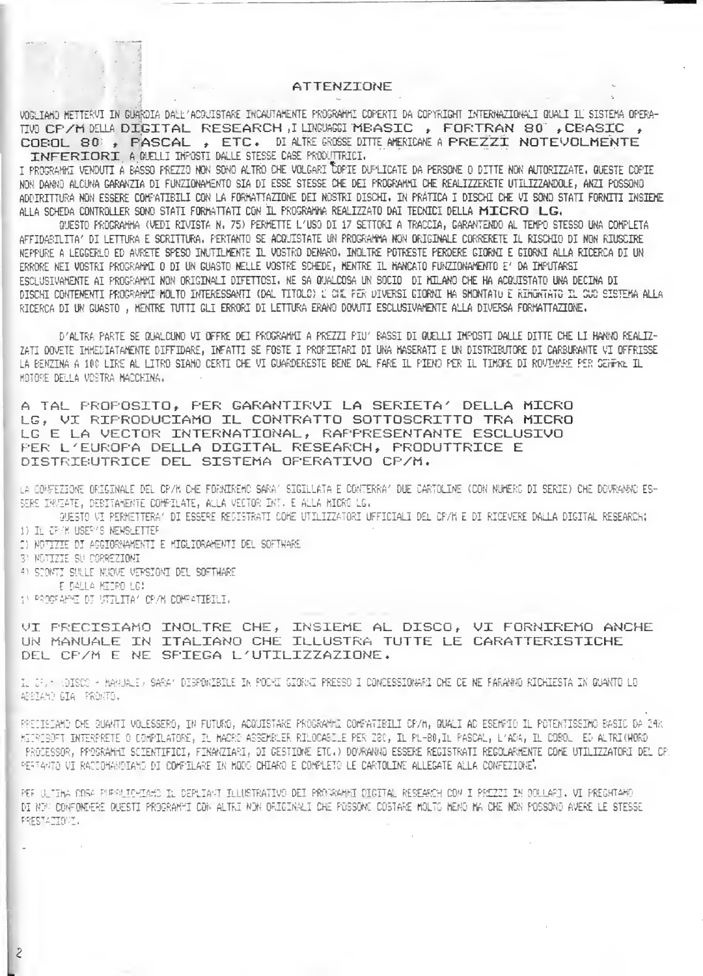### ATTENZIONE

VOG TAMO METTERVI IN GUARDIA DALL'ACQUISTARE INCAUTAMENTE PROGRAMMI COPERTI DA COPYRIGHT INTERNAZIONALI QUALI IL SISTEMA OPERA-TWO CP/M DELLA DIGITAL RESEARCH, I LINGUAGGI MEASIC, FORTRAN 80", CEASIC, COROL 80 , PASCAL , ETC. DI ALTRE GROSSE DITTE AMERICANE A PREZZI NOTEVOLMENTE INFERIORI A QUELLI INFOSTI DALLE STESSE CASE PRODUTIKICI,

T PROGRAMMI VENDUTI A BASSO PREZZO NON SONO ALTRO CHE VOLGARI COPIE DUPLICATE DA PERSONE O DITTE NON AUTORIZZATE. QUESTE COPIE NON DANNO ALCUNA GARANZIA DI FUNZIONAMENTO SIA DI ESSE STESSE CHE DEI PROGRAMMI CHE REALIZZERETE UTILIZZANDOLE, ANZI POSSONO ADDIRITTURA NON ESSERE COMPATIBILI CON LA FORMATTAZIONE DEI NOSTRI DISCHI. IN PRATICA I DISCHI CHE VI SONO STATI FORNITI INSIEME ALLA SCHEDA CONTROLLER SONO STATI FORMATTATI CON IL PROSRAMMA REALIZZATO DAI TECNICI DELLA MILCRO LG.

QUESTO FROGRAMMA (VEDI RIVISTA N. 75) PERMETTE L'USO DI 17 SETTORI A TRACCIA, GARANTENDO AL TEMPO STESSO UNA COMPLETA AFFIDABILITA' DI LETTURA E SCRITTURA, PERTANTO SE ACQUISTATE UN PROGRAMMA NON ORIGINALE CORRERETE IL RISCHIO DI NON RIUSCIRE NEFFURE A LEGGERLO ED AVRETE SFESO INUTILMENTE IL VOSTRO DENARO, INDLIKE POTRESTE PERDERE GIORNI E GIORNI ALLA RICERCA DI UN ERRORE NEI VOSTRI PROGRAMMI O DI UN GUASTO NELLE VOSTRE SCHEDE, MENTRE IL MANCATO FUNZIONAMENTO E' DA IMPUTARSI ESCIUSIVAMENTE AI PROGRAMMI NON ORIGINALI DIFETTOSI, NE SA QUALCOSA UN SOCIO DI MILANO CHE HA ACQUISTATO UNA DECINA DI DISCHI CONTENENTI PROGRAMMI MOLTO INTERESSANTI (DAL TITOLO) L'OHE PER DIVERSI GIORNI HA SMONTATU E RIMONTATO IL OUO SISTEMA ALLA RICERCA DI UN GUASTO, MENTRE TUTTI GLI ERRORI DI LETTURA ERANO DOVUTI ESCLUSIVAMENTE ALLA DIVERSA FORMATTAZIONE.

D'ALTRA PARTE SE QUALCUNO VI DEFRE DEI FROGRAMMI A PREZZI PIU' BASSI DI QUELLI IMPOSTI DALLE DITTE CHE LI HANNO REALIZ-ZATI DOVETE IMMEDIATAMENTE DIFFIDARE, INFATTI SE FOSTE I FROFIETARI DI UNA MASERATI E UN DISTRIBUTORE DI CARBURANTE VI OFFRISSE LA BENZINA A 100 LIRE AL LITRO SIAMO CERTI CHE VI GUARDERESTE BENE DAL FARE IL PIENO PER IL TIMORE DI ROVIMARE PER SEWFRE IL MOTORE DELLA VOSTRA MACCHINA.

A TAL PROPOSITO, PER GARANTIRVI LA SERIETA' DELLA MICRO LG. VI RIPRODUCIAMO IL CONTRATTO SOTTOSCRITTO TRA MICRO LG E LA VECTOR INTERNATIONAL, RAFFRESENTANTE ESCLUSIVO PER L'EUROPA DELLA DIGITAL RESEARCH, PRODUTTRICE E DISTRIBUTRICE DEL SISTEMA OFERATIVO CP/M.

LA COMFEZIONE ORIGINALE DEL CP/M CHE FORNIREMO SARA' SIGILLATA E CONTERRA' DUE CARTOLINE (CON NUMERO DI SERIE) CHE DOVRANNO ES-SERE INVEATE, DESITAMENTE COMPILATE, ALLA VECTOR INT. E ALLA MICRO LG.

GUESTO VI PERMETTERA' DI ESSERE RESISTRATI COME UTILIZZATORI UFFICIALI DEL CP/M E DI RICEVERE DALLA DIGITAL RESEARCH: 1) It CF/K USEF/S NEWSLETTER

- 2) NOTIZIE DI ACCIORNAMENTI E MIGLIORAMENTI DEL SOFTHARE
- 3) NETIZIE SU CORREZIONI
- 4) SCONTI SULLE NUOVE VERSIONI DEL SOFTWARE
- E DALLA MEDRO LC:

 $\mathcal{E}$ 

1) PROGRAME OF UNILITA' CP/M COMPATIBILI.

VI PRECISIAMO INOLTRE CHE, INSIEME AL DISCO, VI FORNIREMO ANCHE UN MANUALE IN ITALIANO CHE ILLUSTRA TUTTE LE CARATTERISTICHE DEL CP/M E NE SPIEGA L'UTILIZZAZIONE.

IL JF. HOISCO - MANUALE/ SARAK DIBPOWIBILE IN POCHI GIORWI PRESSO I CONCESSIONARI CHE CE NE FARANNO RICHIESTA IN QUANTO LO APBIAND GIA PRONTS.

FRECISIAMO CHE QUANTI VOLESSERO, IN FUTURO, ACQUISTARE PROGRAMME COMPATIBILI CP/M, QUALI AD ESEMPIO IL POTENTISSIMO BASIC DA 24K HITRIBOFT INTERPRETE O COMPILATORE, IL MACRE ASSEMBLER RILOCABILE PER Z80, IL PL-80, IL PASCAL, L'ADA, IL COBOL ED ALTRICHORD PROCESSOR, PROSKAMMI SCIENTIFICI, FINANZIARI, DI GESTIONE ETC.) DOVRANNO ESSERE REGISTRATI REGOLARMENTE COME UTILIZZATORI DEL CP. PERTANTO VI RACCOMANOIAMO DI COMPILARE IN MODO CHIARO E COMPLETO LE CARTOLINE ALLEGATE ALLA CONFEZIONE.

PER ULTIMA COSA PURPUIDHIAMO IL DEPLIAMT JLLUSTRATIVO DEI PROGRAMMI DIGITAL RESEARCH COM I PREZZI IN DOLLARI. VI PREGHTAMO DI NEM CONFONDERE QUESTI PROGRAMMI CON ALTRI NON ORIGINALI CHE POSSONO COSTARE MOLTO MENO MA CHE NON POSSONO AVERE LE STESSE PRESTATIONI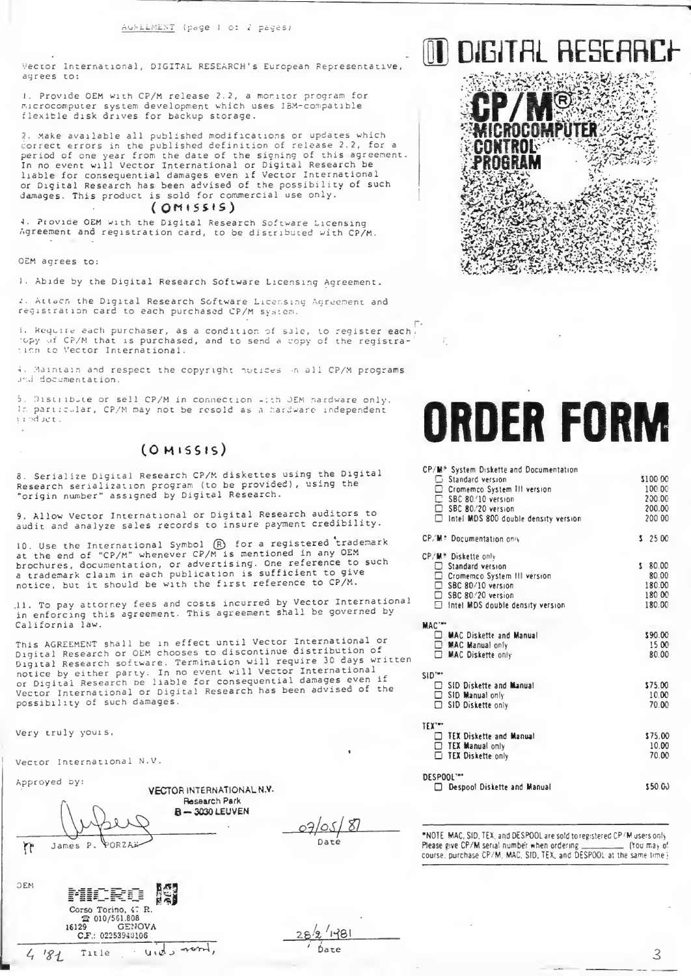Vector International, DIGITAL RESEARCH's European Representative adrees to:

1. Provide OEM with CP/M release 2.2, a monitor program for<br>microcomputer system development which uses IBM-compatible flexible disk drives for backup storage.

2. Make available all published modifications or updates which correct errors in the published definition of release 2.2, for a period of one year from the date of the signing of this agreement. In no event will Vector International or Digital Research be<br>liable for consequential damages even if Vector International or Digital Research has been advised of the possibility of such damages. This product is sold for commercial use only.

#### $(OMISS15)$

4. Provide OEM with the Digital Research Software Licensing Agreement and registration card, to be distributed with CP/M.

OEM agrees to:

1. Abide by the Digital Research Software Licensing Agreement.

2. Attach the Digital Research Software Licensing Agreement and<br>registration card to each purchased CP/M system.

i. Require each purchaser, as a condition of sale, to register each topy of CP/M that is purchased, and to send a copy of the registration to Vector International.

4. Maintain and respect the copyright notices in all CP/M programs und documentation.

5. Distribute or sell CP/M in connection with JEM nardware only. In particular, CP/M may not be resold as a hardware independent product.

# $(OMISSIS)$

8. Serialize Digital Research CP/M diskettes using the Digital Research serialization program (to be provided), using the "origin number" assigned by Digital Research.

9. Allow Vector International or Digital Research auditors to audit and analyze sales records to insure payment credibility.

10. Use the International Symbol (R) for a registered trademark at the end of "CP/M" whenever CP/M is mentioned in any OEM<br>brochures, documentation, or advertising. One reference to such a trademark claim in each publication is sufficient to give<br>notice, but it should be with the first reference to CP/M.

.11. To pay attorney fees and costs incurred by Vector International in enforcing this agreement. This agreement shall be governed by California law.

This AGREEMENT shall be in effect until Vector International or Digital Research or OEM chooses to discontinue distribution of Digital Research software. Termination will require 30 days written notice by either party. In no event will Vector International<br>or Digital Research be liable for consequential damages even if Vector International or Digital Research has been advised of the possibility of such damages.

Research Park

Very truly yours,

Vector International N.V.

Approyed by:

 $\mathcal{L}$ 

**N3C** 

 $4181$ 

VECTOR INTERNATIONAL N.V. B-3030 LEUVEN James P. **PORZAS** 

Corso Torino, 47 R.  $2010/561.808$ 16129

 $CF:$ 

Title

GENOVA

 $\mathcal{L}$ 

vids rond,

02253940106

07/05/  $\mathcal{Z}_l$ Date

 $1481$ 

\*NOTE MAC, SID, TEX, and DESPOOL are sold to registered CP/M users only Please give CP/M serial number when ordering \_\_\_\_\_\_\_\_\_\_\_\_ (You may of course, purchase CP/M, MAC, SID, TEX, and DESPOOL at the same time j

III DIGITAL AFSFARI

# **ORDER FORM**

CD/85 Cristian Diplotta and Deciminated

| CLV M. SAPIEM DIPRETTE AUD DOCUMENTATION<br><table>\n<tbody>\n<tr>\n<td>□ Standard version</td>\n</tr>\n<tr>\n<td>□ Crommerco System III version</td>\n</tr>\n<tr>\n<td>□ SD</td>\n</tr>\n<tr>\n<td>□ SEC 80/10 version</td>\n</tr>\n<tr>\n<td>□ SEC 80/20 version</td>\n</tr>\n<tr>\n<td>□ Intel MDS 800 double density</td>\n</tr>\n</tbody>\n</table><br>Intel MDS 800 double density version | □ Standard version                             | □ Crommerco System III version | □ SD | □ SEC 80/10 version | □ SEC 80/20 version | □ Intel MDS 800 double density | \$100.00<br>100.00<br>200.00<br>200.00<br>200 00 |
|--------------------------------------------------------------------------------------------------------------------------------------------------------------------------------------------------------------------------------------------------------------------------------------------------------------------------------------------------------------------------------------------------|------------------------------------------------|--------------------------------|------|---------------------|---------------------|--------------------------------|--------------------------------------------------|
| □ Standard version                                                                                                                                                                                                                                                                                                                                                                               |                                                |                                |      |                     |                     |                                |                                                  |
| □ Crommerco System III version                                                                                                                                                                                                                                                                                                                                                                   |                                                |                                |      |                     |                     |                                |                                                  |
| □ SD                                                                                                                                                                                                                                                                                                                                                                                             |                                                |                                |      |                     |                     |                                |                                                  |
| □ SEC 80/10 version                                                                                                                                                                                                                                                                                                                                                                              |                                                |                                |      |                     |                     |                                |                                                  |
| □ SEC 80/20 version                                                                                                                                                                                                                                                                                                                                                                              |                                                |                                |      |                     |                     |                                |                                                  |
| □ Intel MDS 800 double density                                                                                                                                                                                                                                                                                                                                                                   |                                                |                                |      |                     |                     |                                |                                                  |
| CP/M: Documentation only                                                                                                                                                                                                                                                                                                                                                                         | \$2500                                         |                                |      |                     |                     |                                |                                                  |
| CP/M <sup>#</sup> Diskette only<br>$\Box$ Standard version<br>□ Cromemco System III version<br>□ SBC 80/10 version<br>□ SBC 80/20 version<br>n<br>Intel MDS double density version                                                                                                                                                                                                               | \$80.00<br>80.00<br>180.00<br>180 00<br>180.00 |                                |      |                     |                     |                                |                                                  |
| MAC'"                                                                                                                                                                                                                                                                                                                                                                                            |                                                |                                |      |                     |                     |                                |                                                  |
| □ MAC Diskette and Manual<br>□ MAC Manual only<br>п<br><b>MAC Diskette only</b>                                                                                                                                                                                                                                                                                                                  | \$90.00<br>15 00<br>80.00                      |                                |      |                     |                     |                                |                                                  |
| $SID^{\ast \bullet \ast}$                                                                                                                                                                                                                                                                                                                                                                        |                                                |                                |      |                     |                     |                                |                                                  |
| SID Diskette and Manual<br>SID Manual only<br>n<br>SID Diskette only                                                                                                                                                                                                                                                                                                                             | \$75.00<br>10.00<br>70.00                      |                                |      |                     |                     |                                |                                                  |
| TEX***                                                                                                                                                                                                                                                                                                                                                                                           |                                                |                                |      |                     |                     |                                |                                                  |
| TEX Diskette and Manual<br>$\Box$ TEX Manual only<br><b>TEX Diskette only</b>                                                                                                                                                                                                                                                                                                                    | \$75.00<br>10.00<br>70.00                      |                                |      |                     |                     |                                |                                                  |
| DESPOOL""<br>Despool Diskette and Manual<br>п                                                                                                                                                                                                                                                                                                                                                    | \$50.00                                        |                                |      |                     |                     |                                |                                                  |
|                                                                                                                                                                                                                                                                                                                                                                                                  |                                                |                                |      |                     |                     |                                |                                                  |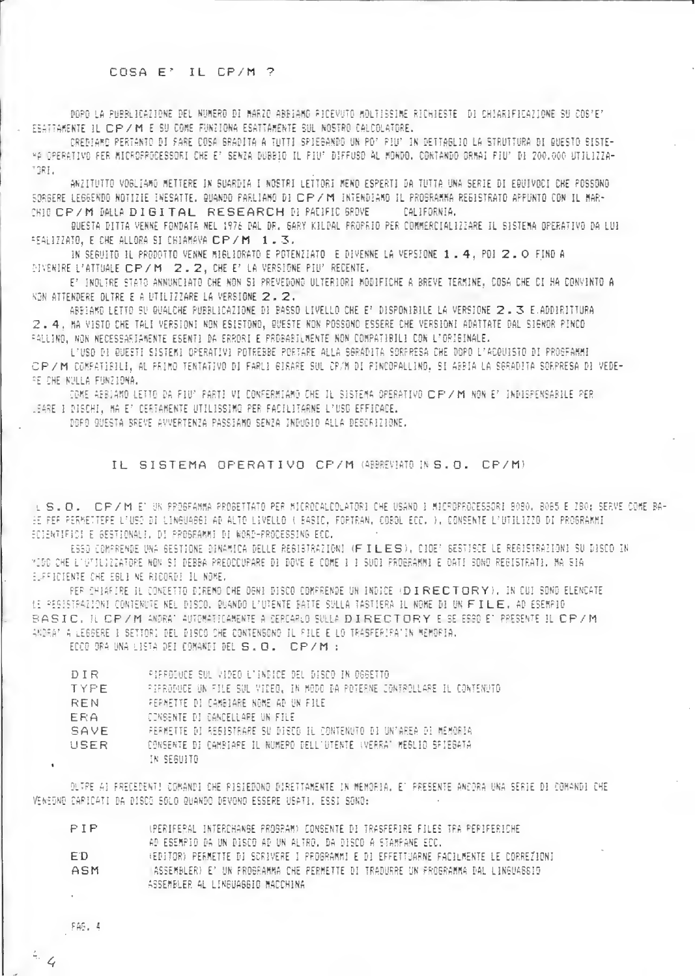# COSA E' IL CP/M ?

DORD LA PUBBLICAZIONE DEL NUMERO DI MARZO ABBIANO RICEVUTO MOLTISSIME RICHIESTE DI CHIARIFICAZIONE SU COS'E' ESATTAKENTE IL CP / M E SU COME FUNZIONA ESATTAKENTE SUL NOSTRO CALCOLATORE.

CREDIANO PERTANTO DI SARE COSA SRADITA A TUTTI SPIEGANDO UN PO' PIU' IN DETTAGLIO LA STRUTTURA DI QUESTO SISTE-HA OPERATIVO PER MICROPROCESSORI CHE E' SENZA DUBBIO IL PIU' DIFFUSO AL MONDO, CONTANDO ORMAI PIU' DI 200.000 UTILIZZA-TORE.

ANZITUTTO VOGLIAMO METTERE IN SUARDIA I NOSTRI LETTORI MENO ESPERTI DA TUTTA UNA SERIE DI EQUIVOCI CHE POSSONO SORBERE LEGGENDO NOTIZIE INESATTE. QUANDO PARLIAMO DI CIP/M INTENDIAMO IL PROGRAMMA REGISTRATO APPUNTO CON IL MAR-CHIE CP / M DALLA DI GITAL RESEARCH DI PALIFIC SROVE CALIFORNIA.

QUESTA DITTA VENNE FONDATA NEL 1976 DAL DR. GARY KILDAL PROPRIO PER COMMERCIALIZZARE IL SISTEMA OPERATIVO DA LUI FEALIZZATO, E CHE ALLORA SI CHIAMAVA CP/M 1.3.

IN SEGUITO IL PRODOTTO VENNE MIGLIORATO E POTENZIATO E DIVENNE LA VERSIONE 1 . 4, POI 2 . O FIND A DIVENIRE L'ATTUALE CP/M 2.2, CHE E' LA VERSIONE PIU' RECENTE.

E' INDLIRE STATO ANNUNCIATO CHE NON SI PREVEDONO ULTERIORI MODIFICHE A BREVE TERMINE. COSA CHE CI HA CONVINTO A KON ATTEKDERE DLIRE E A UTILIZZARE LA VERSIONE 2.2.

ABBIAMO LETTO SU QUALCHE PUBBLICAZIONE DI BASSO LIVELLO CHE E' DISPONIBILE LA VERSIONE 2.3 E.ADDIRITTURA 2.4. MA VISTO CHE TALI VERSIONI NON ESISTONO, QUESTE NON POSSONO ESSERE CHE VERSIONI ADATTATE DAL SIGNOR PINCO FALLINO, NON NECESSARIABENTE ESENTI DA ERRORI E PROBABILMENTE NON COMPATIBILI CON L'ORIGINALE.

L'USD DI QUEETI SISTEMI OPERATIVI POTREBBE PORTARE ALLA SORADITA SORPRESA CHE DOPO L'ACQUISTO DI PROGFAMMI CP/M COMPATIBILI, AL PRIMO TENTATIVO DI FARLI GIRARE SUL CP/M DI PINCOPALLINO. SI ABBIA LA SGRADITA SORPRESA DI VEDE-RE CHE NULLA FUNZIONA.

COKE AEBJAMO LETTO DA FIU" PARTI VI CONFERMIAMO CHE IL SISTEMA OPERATIVO CIPI/M NON E' INDISPENSABILE PER LEARE I DISCHI, MA E' CEATAMENTE UTILISSIMO PER FACILITARNE L'USG EFFICACE.

DORO QUESTA BREVE AVVERTENZA PASSIAMO SENZA INDUGIO ALLA DESCRIZIONE.

IL SISTEMA OPERATIVO CP/M (ABBREVIATO INS.O. CP/M)

LISLOL CP/M ET UN PROSFAMMA PROGETTATO PER MICROCALCOLATORI CHE USANO I MICROPROCESSORI 8080, 8085 E ZBO; SERVE COME BA-EE PER PERMETTEPE L'USO DI LINGUAGGI AD ALTO LIVELLO ( BASIC, FORTRAN, COBOL ECC. ), CONSENTE L'UTILIZZO DI PROGRAMMI ECIENTIFICI E GESTIONALI, DI PROGRAMMI DI WORD-PROCESSING ECC.

ESSO COMPRENDE UNA GESTIONE DINAMICA DELLE REGISTRAZIONI (FILES), CIOE' SESTISCE LE REGISTRAZIONI SU DISCO IN MISC CHE L'OTTLIZZATORE NON SI DEBBA PREDCCUPARE DI DOVE E COME I I SUDI PROGRAMMI E DATI SONO REGISTRATI. MA SIA EURFICIENTE CHE EBLI NE RICORDI IL NOME,

PER CHIAFIRE IL CONZETTO DIREMO CHE OGNI DISCO COMPRENDE UN INDICE (DIRECTORY), IN CUI SONO ELENCATE 1: PESISTRAZIONI CONTENUTE NEL DISCO. QUANDO L'UTENTE BATTE SULLA TASTIERA IL NOME DI UN FIILE. AD ESEMPIO BASIC, IL CP / M. ANDRAT AUTOMATICAMENTE À CERCARLO SULLA DIRECTORY E SE ESSO ET PRESENTE IL CP / M ANDRAT A LEGGERE I SETTORI DEL DISCO CHE CONTENSONO IL PILE E LO TRASFERIRATIN MEMOPIA.

ECCO ORA UNA LISTA DEI COMANDI DEL S.O. CP/M :

| DIR         | PIPPOINCE SUL VIDEO L'INDICE DEL DISCO IN OGGETTO                        |
|-------------|--------------------------------------------------------------------------|
| TYPE.       | PIFRODUCE UN FILE SUL VIDEO, IN MODO DA POTERNE JONTROLLARE IL CONTENUTO |
| REN         | FERMETTE DI CAMBIARE NOME AD UN FILE.                                    |
| ERA         | CONSENTE DI CANCELLAPE UN FILE                                           |
| <b>SAVE</b> | PERMETTE DI RESISTRARE SU DISCO IL CONTENUTO DI UN'AREA DI MEMORIA       |
| USER.       | CONSENTE DI CAMBIARE IL NUMERO DELL'UTENTE (VERRA' MEBLIO SFIEBATA       |
|             | IN SEGUITO                                                               |

OUTPE AI FRECEDENT! COMANDI CHE PISIEDONO DIRETTAMENTE IN MEMORIA. ET PRESENTE ANCORA UNA SERIE DI COMANDI CHE VENEDNO CARICATI DA DISCO 5010 QUANDO DEVONO ESSERE USATI, ESSI SONO:

| PIP  | (PERIFERAL INTERCHANGE PROGRAM) CONSENTE DI TRASFERIRE FILES TRA PERIFERICHE        |
|------|-------------------------------------------------------------------------------------|
|      | AD ESEMPIO DA UN DISCO AD UN ALTRO. DA DISCO A STAMPANE ECC.                        |
| E D. | REDITOR) PERMETTE DI SCRIVERE I PROGRAMMI E DI EFFETTUARNE FACILMENTE LE CORREZIONI |
| ASM  | LASSEMBLER) E' UN FROGRAMMA CHE PERMETTE DI TRADURRE UN FROGRAMMA DAL LINGUAGSIO    |
|      | ASSEMBLER AL LINGUAGGIO MACCHINA                                                    |

 $FAF. 4$ 

 $4 - 4$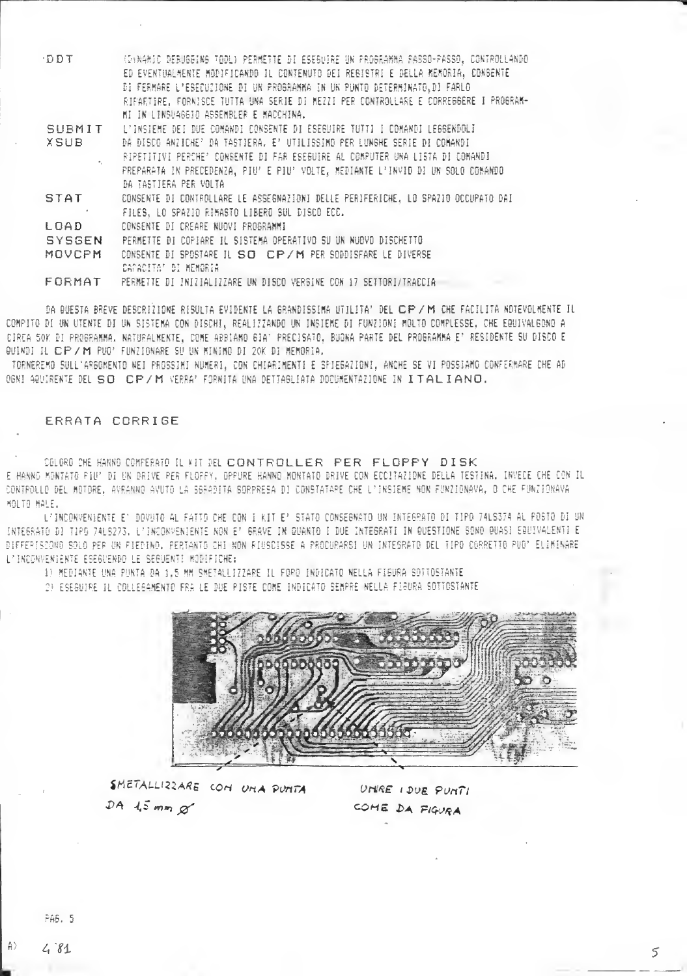| DDT                                                                                     | (D)NAMIC DEBUGGING TOOL) PERMETTE DI ESEGUIRE UN PROGRAMMA PASSO-PASSO, CONTROLLANDO |  |  |  |
|-----------------------------------------------------------------------------------------|--------------------------------------------------------------------------------------|--|--|--|
|                                                                                         | ED EVENTUALMENTE MODIFICANDO IL CONTENUTO DEI REBISTRI E DELLA MEMORIA, CONSENTE     |  |  |  |
|                                                                                         | DI FERMARE L'ESECUZIONE DI UN PROGRAMMA IN UN PUNTO DETERMINATO, DI FARLO            |  |  |  |
|                                                                                         | RIPARTIRE, FORNISCE TUTTA UNA SERIE DI MEZZI PER CONTROLLARE E CORREGGERE I PROGRAM- |  |  |  |
|                                                                                         | MI IN LINGUAGGIO ASSEMBLER E MACCHINA.                                               |  |  |  |
| SUBMIT                                                                                  | L'INSIEME DEI DUE COMANDI CONSENTE DI ESEGUIRE TUTTI I COMANDI LEGGENDOLI            |  |  |  |
| <b>XSUB</b><br>DA DISCO ANZICHE' DA TASTIERA. E' UTILISSIMO PER LUNGHE SERIE DI COMANDI |                                                                                      |  |  |  |
|                                                                                         | RIPETITIVI PERCHE' CONSENTE DI FAR ESEGUIRE AL COMPUTER UNA LISTA DI COMANDI         |  |  |  |
|                                                                                         | PREPARATA IN PRECEDENZA, PIU' E PIU' VOLTE, MEDIANTE L'INVID DI UN SOLO COMANDO      |  |  |  |
|                                                                                         | DA TASTIERA PER VOLTA                                                                |  |  |  |
| <b>STAT</b>                                                                             | CONSENTE DI CONTROLLARE LE ASSESNAZIONI DELLE PERIFERICHE, LO SPAZIO OCCUPATO DAI    |  |  |  |
|                                                                                         | FILES, LO SPAZIO RIMASTO LIBERO SUL DISCO ECC.                                       |  |  |  |
| LOAD.                                                                                   | CONSENTE DI CREARE NUOVI PROGRAMMI                                                   |  |  |  |
| <b>SYSGEN</b>                                                                           | PERMETTE DI COPIARE IL SISTEMA OPERATIVO SU UN NUOVO DISCHETTO                       |  |  |  |
| MOVCPM                                                                                  | CONSENTE DI SPOSTARE IL SO CP/M PER SODDISFARE LE DIVERSE                            |  |  |  |
|                                                                                         | CAPACITAT DI HEMORIA                                                                 |  |  |  |
| FORMAT                                                                                  | PERMETTE DI INIZIALIZZARE UN DISCO VERGINE CON 17 SETTORI/TRACCIA                    |  |  |  |

DA QUESTA BREVE DESCRIZIONE RISULTA EVIDENTE LA GRANDISSIMA UTILITA' DEL CP/M CHE FACILITA NOTEVOLMENTE IL COMPITO DI UN UTENTE DI UN SISTEMA CON DISCHI, REALIZZANDO UN INSIEME DI FUNZIONI MOLTO COMPLESSE, CHE EQUIVALGONO A CIRCA 50K DI PROGRAMMA. NATURALMENTE, COME ARBIAMO GIA' PRECISATO, BUONA PARTE DEL PROGRAMMA E' RESIDENTE SU DISCO E QUINDI IL CP/M PUO' FUNZIONARE SU UN HINIMO DI 20K DI MEMORIA.

TORNEREMO SULL'ARGOMENTO NEI PROSSIMI NUMERI, CON CHIARIMENTI E SPIEGAZIONI, ANCHE SE VI POSSIAMO CONFERMARE CHE AD OBNI ABUIRENTE DEL SO CP/M VERRA' FORNITA UNA DETTABLIATA DOCURENTAZIONE IN ITALIANO.

## ERRATA CORRIGE

COLORO CHE HANNO CONFERATO IL KIT DEL CONTROLLEER PER FLOPPY DISK E HANNG MONTATO PIU' DI UN DRIVE PER FLOFFY, OPPURE HANNO MONTATO DRIVE CON ECCITAZIONE DELLA TESTINA, INVECE CHE CON IL CONTROLLO DEL MOTORE, AVRANNO AVUTO LA SGRADITA SORPRESA DI CONSTATARE CHE L'INSIEME NON FUNZIONAVA, O CHE FUNZIONAVA MOLTO MALE.

L'INCONVENIENTE E' DOVUTO AL FATTO CHE CON I KIT E' STATO CONSEGNATO UN INTEGRATO DI TIPO 74LS374 AL POSTO DI UN INTEGRATO DI TIPO 74LS273, L'INCONVENIENTE NON E' GRAVE IN QUANTO I DUE INTEGRATI IN QUESTIONE SONO QUASI EQUIVALENTI E DIFFERISCOND SOLD PER UN FIEDIND, PERTANTO CHI NON FIUSCISSE A PROCURARSI UN INTESRATO DEL TIPO CORRETTO PUD' ELIMINARE L'INCONVENIENTE ESEGUENDO LE SEGUENTI MODIFICHE:

1) MEDIANTE UNA PUNTA DA 1,5 MM SMETALLIZZARE IL FORD INDICATO NELLA FISURA SOTTOSTANTE

2) ESEBUIRE IL COLLEGAMENTO FRA LE DUE PISTE COME INDICATO SEMPRE NELLA FIGURA SOTTOSTANTE



SMETALLIZZARE CON UNA PUNTA  $DA$   $15$  mm  $\alpha$ 

UNRE I DUE PUNTI COME DA FIGURA

PAS, 5

 $\wedge$  $4.81$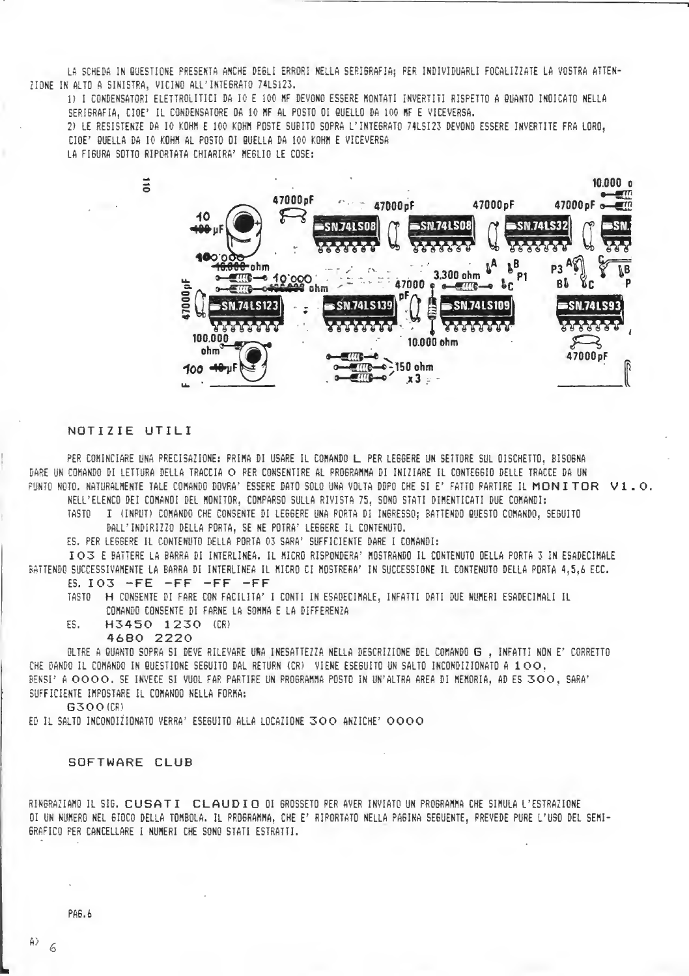LA SCHEDA IN QUESTIONE PRESENTA ANCHE DEGLI ERRORI NELLA SERIGRAFIA: PER INDIVIDUARLI FOCALIZZATE LA VOSTRA ATTEN-ZIONE IN ALTO A SINISTRA. VICINO ALL'INTEGRATO 74LS123.

1) I CONDENSATORI ELETTROLITICI DA IO E 100 MF DEVONO ESSERE MONTATI INVERTITI RISPETTO A QUANTO INDICATO NELLA SERIGRAFIA, CIOE' IL CONDENSATORE DA 10 MF AL POSTO DI QUELLO DA 100 MF E VICEVERSA.

2) LE RESISTENZE DA IO KOHM E 100 KOHM POSTE SUBITO SOPRA L'INTEGRATO 74LSI23 DEVONO ESSERE INVERTITE FRA LORO. CIOE' QUELLA DA IO KOHM AL POSTO OI QUELLA DA 100 KOHM E VICEVERSA

LA FIGURA SOTTO RIPORTATA CHIARIRA' MEGLIO LE COSE:



# NOTIZIE UTILI

PER COMINCIARE UNA PRECISAZIONE: PRIMA DI USARE IL COMANDO L PER LEGGERE UN SETTORE SUL OISCHETTO, BISOGNA DARE UN COMANDO DI LETTURA DELLA TRACCIA O PER CONSENTIRE AL PROGRAMMA DI INIZIARE IL CONTEGGIO DELLE TRACCE DA UN PUNTO NOTO, NATURALMENTE TALE COMANDO DOVRA' ESSERE DATO SOLO UNA VOLTA DOPO CHE SI E' FATTO PARTIRE IL MONITOR V1.0. NELL'ELENCO DEI COMANOI DEL MONITOR, COMPARSO SULLA RIVISTA 75, SONO STATI DIMENTICATI DUE COMANDI:

TASTO I (INPUT) COMANDO CHE CONSENTE DI LEGGERE UNA PORTA DI INGRESSO; BATTENDO QUESTO COMANDO, SEGUITO

DALL'INDIRIZZO DELLA PORTA, SE NE POTRA' LEGGERE IL CONTENUTO.

ES. PER LEGGERE IL CONTENUTO DELLA PORTA 03 SARA' SUFFICIENTE DARE I COMANDI:

IO3 E BATTERE LA BARRA DI INTERLINEA. IL MICRO RISPONDERA' MOSTRANDO IL CONTENUTO OELLA PORTA 3 IN ESADECIMALE BATTENDO SUCCESSIVAMENTE LA BARRA DI INTERLINEA IL MICRO CI MOSTRERA" IN SUCCESSIONE IL CONTENUTO DELLA PORTA 4,5,6 ECC.

 $ES. IO3 - FE - FF - FF - FF$ 

TASTO A H CONSENTE DI FARE CON FACILITA' I CONTI IN ESADECIMALE, INFATTI DATI DUE NUMERI ESADECIMALI IL COMANDO CONSENTE DI FARNE LA SOMMA E LA DIFFERENZA

H3450 1230 (CR) ES.

4680 2220

OLTRE A QUANTO SOPRA SI DEVE RILEVARE URA INESATTEZZA NELLA DESCRIZIONE DEL COMANDO G , INFATTI NON E' CORRETTO CHE DANDO IL COMANDO IN QUESTIONE SEGUITO DAL RETURN (CR) VIENE ESEGUITO UN SALTO INCONDIZIONATO A 100. BENSI' A OOOO. SE INVECE SI VUOL FAR PARTIRE UN PROGRAMMA POSTO IN UN'ALTRA AREA DI MEMORIA. AD ES 300, SARA' SUFFICIENTE IMPOSTARE IL COMANOO NELLA FORMA:

G300(CR)

ED IL SALTO INCONDIZIONATO VERRA' ESEGUITO ALLA LOCAZIONE 300 ANZICHE' 0000

### SOFTWARE CLUB

RINGRAZIAMO IL SIG. CUSATI CLAUDIO OI GROSSETO PER AVER INVIATO UN PROGRAMMA CHE SIMULA L'ESTRAZIONE OI UN NUMERO NEL 6IOCO DELLA TOMBOLA. IL PROGRAMMA, CHE E' RIPORTATO NELLA PAGINA SEGUENTE, PREVEDE PURE L'USO DEL SEMI-GRAFICO PER CANCELLARE I NUMERI CHE SONO STATI ESTRATTI.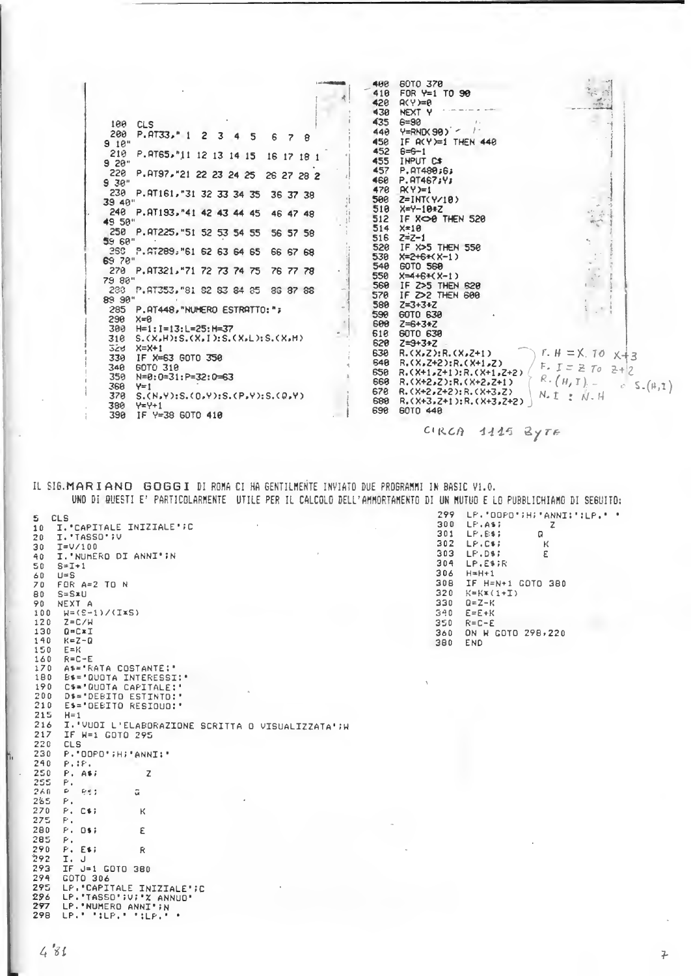| 100 CLS<br>200<br>$P. 4T33.$ $P. 1$<br>$\mathbf{2}$<br>3<br>5<br>6<br>9.10"<br>210<br>P.RT65,"11 12 13 14 15 16 17 18 1<br>$9.28$ "<br>220<br>P.RT97, "21 22 23 24 25 26 27 28 2<br>9.30"<br>230 P.RT161, 31 32 33 34 35<br>36 37 38<br>39 40"<br>248 P.AT193, 41 42 43 44 45<br>46 47 48<br>49 50"<br>250 P.AT225, "51 52 53 54 55<br>56 57 58<br>59 60"<br>260 P. AT289, "61 62 63 64 65<br>66 67 68<br>69 70"<br>270 P.AT321, "71 72 73 74 75<br>76 77 78<br>79 88"<br>288 P.AT353, 81 82 83 84 85<br>36 37 68<br>89 90"<br>285 P. AT448, "NUMERO ESTRATTO: ";<br>290<br>$x=0$<br>300<br>$H=1: I=13: L=25: H=37$<br>310<br>$S.$ $(X, H): S.$ $(X, I): S.$ $(X, L): S.$ $(X, H)$<br>528<br>$X = X + 1$<br>330<br>IF X=63 GOTO 350<br>60TO 318<br>340<br>359<br>N=0:0=31:P=32:0=63<br>360<br>$Y=1$ | 60TO 370<br>400<br>418<br>$FOR Y=1 T0 90$<br>$A(Y)=0$<br>420<br>430<br><b>NEXT Y</b><br>435<br>$6 = 90$<br>440<br>$Y=$ RND(98) $\sim$ /<br>450<br>IF $R(Y)=1$ THEN 448<br>452<br>$6 = -1$<br>455<br>INPUT CS<br>457<br>P.RT480;6;<br>460<br>P. AT467;Y;<br>478<br>$AXY=1$<br>500<br>$Z=INT(Y/10)$<br>518<br>$X = Y - 10 + Z$<br>512<br>IF XOO THEN 520<br>$X = 10$<br>514<br>516<br>$Z = Z - 1$<br>520<br>IF X>5 THEN 550<br>530<br>$X=2+6+(X-1)$<br>540<br>60TO 560<br>550<br>$X=4+6+(X-1)$<br>560<br>IF Z>5 THEN 628<br>570<br>IF Z>2 THEN 600<br>580<br>$Z = 3 + 3 + Z$<br>590<br>60TO 630<br>600<br>$Z = 6 + 3 + Z$<br>60TO 630<br>618<br>620<br>$Z = 3 + 3 + Z$<br>630<br>$R_5(X,Z):R_5(X,Z+1)$<br>640<br>$R.(X,Z+2):R.(X+1,Z)$<br>650<br>$R_1$ (X+1, Z+1): $R_1$ (X+1, Z+2)<br>669<br>$R,(X+2,Z):R,(X+2,Z+1)$ | $F. H = X. 70$<br>$X+3$<br>$F.$ $I = 270$<br>$2+2$<br>$R \cdot (H, T) =$ |
|-----------------------------------------------------------------------------------------------------------------------------------------------------------------------------------------------------------------------------------------------------------------------------------------------------------------------------------------------------------------------------------------------------------------------------------------------------------------------------------------------------------------------------------------------------------------------------------------------------------------------------------------------------------------------------------------------------------------------------------------------------------------------------------------------------|---------------------------------------------------------------------------------------------------------------------------------------------------------------------------------------------------------------------------------------------------------------------------------------------------------------------------------------------------------------------------------------------------------------------------------------------------------------------------------------------------------------------------------------------------------------------------------------------------------------------------------------------------------------------------------------------------------------------------------------------------------------------------------------------------------------------|--------------------------------------------------------------------------|
| 370<br>S.(N,Y):S.(D,Y):S.(P,Y):S.(Q,Y)<br>380<br>$454 + 1$<br>390<br>IF Y=38 GOTO 410                                                                                                                                                                                                                                                                                                                                                                                                                                                                                                                                                                                                                                                                                                               | 678<br>$R. (X+2, Z+2): R. (X+3, Z)$<br>680<br>$R_5(X+3, Z+1): R_5(X+3, Z+2)$<br>698<br>60TO 440                                                                                                                                                                                                                                                                                                                                                                                                                                                                                                                                                                                                                                                                                                                     | $c S_{-}(\mu,1)$<br>$N_t$ $t$ $t$ $N$ . $H$                              |

CIRCA 1115 BYTE

IL SIG.MARIANO GOGGI DI ROMA CI HA GENTILMENTE INVIATO DUE PROGRAMMI IN BASIC V1.0. UNO DI QUESTI E' PARTICOLARMENTE UTILE PER IL CALCOLO DELL'AMMORTAMENTO DI UN MUTUO E LO PUBBLICHIAMO DI SEGUITO:

 $\mathbb S$ CLS I."CAPITALE INIZIALE";C<br>I."TASSO";V  $10$  $20$  $302$ 30  $\texttt{I=V/100}$ 303 I. NUMERO DI ANNI'IN  $40$ 304  $\mathbb{S}\,0$  $S = I + 1$ 306  $rac{60}{70}$  $U = S$ 308 FOR A=2 TO N  $S = S \times U$  $320$  $B<sub>0</sub>$ NEXT A  $330$ 90  $W = (S-1)/(T*S)$ <br>Z=C/W 100  $340$ 120 350 130  $\mathbb{Q}=\mathbb{C}\times\mathbb{I}$ 360  $140$ <br> $150$  $K = Z - Q$ 380  $F = K$  $160$ <br> $170$  $R = C - E$ AS="RATA COSTANTE:" B\$="QUOTA INTERESSI:"<br>C\$="QUOTA INTERESSI:" 180 190  $\begin{array}{c} 200 \\ 210 \end{array}$ D\$="DEBITO ESTINTO:"<br>E\$="DEBITO RESIDUO:" H=1<br>I.'VUOI L'ELABORAZIONE SCRITTA O VISUALIZZATA';W<br>IF W=1 GOTO 295 215 216 217 CLS<br>P.'DDPD';H;'ANNI;' 220  $230$  $240$  $P_i$ : $P_i$  $250$  $P$ , A\$;<br> $P$ ,  $\mathsf Z$ 255  $260$  $D = P \in I$  $\tilde{\omega}$  $285$  $\mathsf{P}$  . 270  $P. C51$ K 275  $\mathbb{P}$  . 280  $P - 0$ \$;  $\bar{\epsilon}$ 285  $\mathsf{P}$  . 290  $P - E5$  $\mathsf R$ I. J<br>IF J=1 GOTO 380  $292$ 293 COTO 306<br>LP.'CAPITALE INIZIALE';C<br>LP.'TASSO';V;'X ANNUO'<br>LP.'NUMERO ANNI';N<br>LP.'':LP.'':LP.''  $294$ <br> $295$ <br> $296$  $297$ 298

299 LP. '00PO'; H; 'ANNI:' : LP.' ' 300 LP.AS;  $Z$  $\mathsf{Q}$ LP.C+F  $\mathbf{K}$ LP.D\$? Ε LP.E\$;R  $H=H+1$ IF H=N+1 GOTO 380  $K=K\times(1+T)$  $Q = Z - K$  $E = E + K$  $R = C - E$ ON N GOTO 298,220 END

M.

 $\overline{r}$